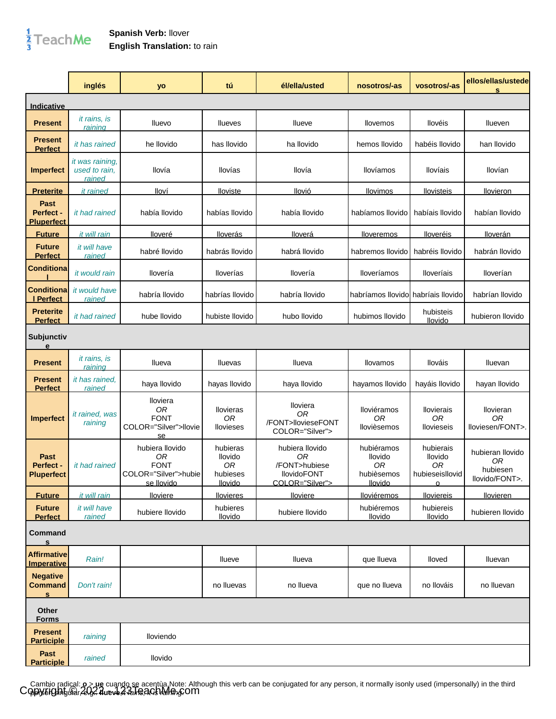## $\frac{1}{3}$ TeachMe

## **Spanish Verb:** llover **English Translation:** to rain

|                                                   | inglés                                                   | yo                                                                         | tú                                               | él/ella/usted                                                                   | nosotros/-as                                                | vosotros/-as                                                                | ellos/ellas/ustede<br>s                              |
|---------------------------------------------------|----------------------------------------------------------|----------------------------------------------------------------------------|--------------------------------------------------|---------------------------------------------------------------------------------|-------------------------------------------------------------|-----------------------------------------------------------------------------|------------------------------------------------------|
| Indicative                                        |                                                          |                                                                            |                                                  |                                                                                 |                                                             |                                                                             |                                                      |
| <b>Present</b>                                    | <i>it rains</i> , <i>is</i><br>raining                   | Iluevo                                                                     | <b>Ilueves</b>                                   | llueve                                                                          | llovemos                                                    | llovéis                                                                     | <b>Ilueven</b>                                       |
| Present<br><b>Perfect</b>                         | it has rained                                            | he llovido                                                                 | has llovido                                      | ha llovido                                                                      | hemos llovido                                               | habéis llovido                                                              | han llovido                                          |
| <b>Imperfect</b>                                  | <i>it was raining,</i><br>used to rain,<br><u>rained</u> | llovía                                                                     | llovías                                          | llovía                                                                          | <b>Ilovíamos</b>                                            | <b>Ilovíais</b>                                                             | llovían                                              |
| <u>Preterite</u>                                  | <i>it rained</i>                                         | lloví                                                                      | lloviste                                         | llovió                                                                          | <u>llovimos</u>                                             | <u>llovisteis</u>                                                           | <u>llovieron</u>                                     |
| <b>Past</b><br>Perfect -<br><b>Pluperfect</b>     | it had rained                                            | había llovido                                                              | habías llovido                                   | había llovido                                                                   | habíamos llovido                                            | habíais llovido                                                             | habían llovido                                       |
| <b>Future</b>                                     | it will rain                                             | <u>lloveré</u>                                                             | <b>Iloverás</b>                                  | <u>lloverá</u>                                                                  | lloveremos                                                  | <b>Iloveréis</b>                                                            | <u>lloverán</u>                                      |
| <b>Future</b><br><b>Perfect</b>                   | it will have<br>rained                                   | habré llovido                                                              | habrás llovido                                   | habrá llovido                                                                   | habremos llovido                                            | habréis llovido                                                             | habrán llovido                                       |
| <b>Conditiona</b>                                 | it would rain                                            | llovería                                                                   | <b>Iloverías</b>                                 | llovería                                                                        | lloveríamos                                                 | lloveríais                                                                  | lloverían                                            |
| Conditiona<br>I Perfect                           | it would have<br><u>rained</u>                           | habría llovido                                                             | habrías llovido                                  | habría llovido                                                                  | habríamos llovido <b>l</b> habríais llovido                 |                                                                             | habrían llovido                                      |
| <b>Preterite</b><br><b>Perfect</b>                | it had rained                                            | hube llovido                                                               | hubiste llovido                                  | hubo llovido                                                                    | hubimos llovido                                             | hubisteis<br>llovido                                                        | hubieron llovido                                     |
| Subjunctiv<br>e                                   |                                                          |                                                                            |                                                  |                                                                                 |                                                             |                                                                             |                                                      |
| <b>Present</b>                                    | <i>it rains</i> , <i>is</i><br>rainina                   | Ilueva                                                                     | Iluevas                                          | Ilueva                                                                          | Ilovamos                                                    | llováis                                                                     | Iluevan                                              |
| Present<br><b>Perfect</b>                         | it has rained.<br>rained                                 | haya Ilovido                                                               | hayas llovido                                    | haya llovido                                                                    | hayamos llovido                                             | hayáis llovido                                                              | hayan llovido                                        |
| <b>Imperfect</b>                                  | it rained, was<br>raining                                | Iloviera<br>0R<br><b>FONT</b><br>COLOR="Silver">llovie<br>se               | <b>Ilovieras</b><br>0R<br><b>Ilovieses</b>       | lloviera<br>0R<br>/FONT>llovieseFONT<br>COLOR="Silver">                         | lloviéramos<br>0R<br>Ilovièsemos                            | <b>Ilovierais</b><br>0R<br>Ilovieseis                                       | llovieran<br>0R<br>lloviesen/FONT>.                  |
| <b>Past</b><br>Perfect -<br><b>Pluperfect</b>     | it had rained                                            | hubiera llovido<br>0R<br><b>FONT</b><br>COLOR="Silver">hubie<br>se llovido | hubieras<br>llovido<br>0R<br>hubieses<br>llovido | hubiera llovido<br>OR<br>/FONT>hubiese<br><b>IlovidoFONT</b><br>COLOR="Silver"> | hubiéramos<br>llovido<br><b>OR</b><br>hubièsemos<br>llovido | hubierais<br>llovido<br>0 <sub>R</sub><br>hubieseisllovid<br>$\overline{O}$ | hubieran llovido<br>0R<br>hubiesen<br>llovido/FONT>. |
| <b>Future</b>                                     | it will rain                                             | lloviere                                                                   | <b>Ilovieres</b>                                 | <b>Iloviere</b>                                                                 | <b>Iloviéremos</b>                                          | <b>Iloviereis</b>                                                           | <b>Ilovieren</b>                                     |
| <b>Future</b><br><b>Perfect</b>                   | it will have<br>rained                                   | hubiere llovido                                                            | hubieres<br><b>llovido</b>                       | hubiere llovido                                                                 | hubiéremos<br>llovido                                       | hubiereis<br>llovido                                                        | hubieren llovido                                     |
| Command<br>$\mathbf{s}$                           |                                                          |                                                                            |                                                  |                                                                                 |                                                             |                                                                             |                                                      |
| <b>Affirmative</b><br><b>Imperative</b>           | Rain!                                                    |                                                                            | Ilueve                                           | Ilueva                                                                          | que llueva                                                  | Iloved                                                                      | Iluevan                                              |
| <b>Negative</b><br><b>Command</b><br>$\mathbf{s}$ | Don't rain!                                              |                                                                            | no Iluevas                                       | no Ilueva                                                                       | que no llueva                                               | no Ilováis                                                                  | no Iluevan                                           |
| Other<br><b>Forms</b>                             |                                                          |                                                                            |                                                  |                                                                                 |                                                             |                                                                             |                                                      |
| <b>Present</b><br><b>Participle</b>               | raining                                                  | lloviendo                                                                  |                                                  |                                                                                 |                                                             |                                                                             |                                                      |
| Past<br><b>Participle</b>                         | rained                                                   | llovido                                                                    |                                                  |                                                                                 |                                                             |                                                                             |                                                      |

Cambio radical: **o > ue** cuando se acentùa.Note: Although this verb can be conjugated for any person, it normally isonly used (impersonally) in the third<br>CODX5IOnhuGL2C24ueve*4*AnR3C5DAM<del>M</del>n&COM person Shingu<del>la</del>r, E.g.: 4ueve, 4 valis, 21 Giblian m.g.